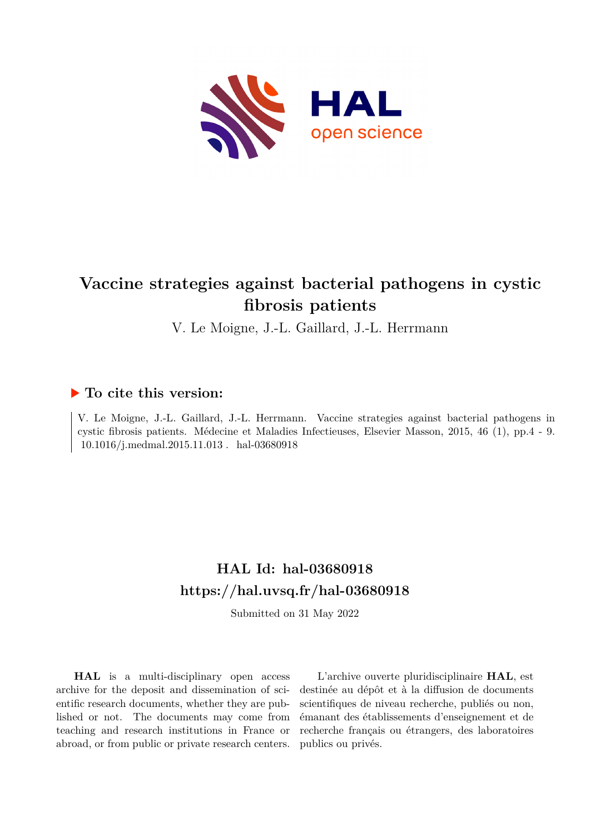

# **Vaccine strategies against bacterial pathogens in cystic fibrosis patients**

V. Le Moigne, J.-L. Gaillard, J.-L. Herrmann

## **To cite this version:**

V. Le Moigne, J.-L. Gaillard, J.-L. Herrmann. Vaccine strategies against bacterial pathogens in cystic fibrosis patients. Médecine et Maladies Infectieuses, Elsevier Masson, 2015, 46 (1), pp.4 - 9.  $10.1016/j.medmal.2015.11.013$  .  $\,$  hal-03680918  $\,$ 

# **HAL Id: hal-03680918 <https://hal.uvsq.fr/hal-03680918>**

Submitted on 31 May 2022

**HAL** is a multi-disciplinary open access archive for the deposit and dissemination of scientific research documents, whether they are published or not. The documents may come from teaching and research institutions in France or abroad, or from public or private research centers.

L'archive ouverte pluridisciplinaire **HAL**, est destinée au dépôt et à la diffusion de documents scientifiques de niveau recherche, publiés ou non, émanant des établissements d'enseignement et de recherche français ou étrangers, des laboratoires publics ou privés.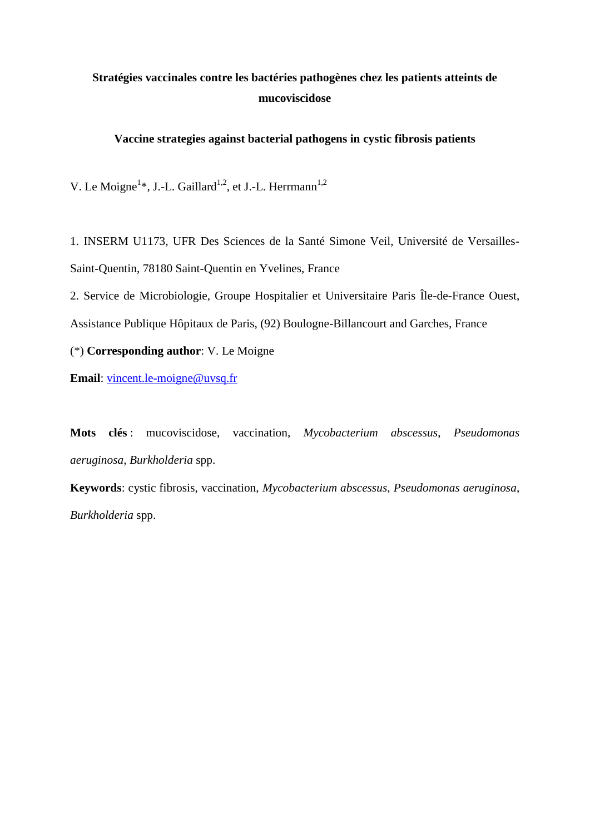# **Stratégies vaccinales contre les bactéries pathogènes chez les patients atteints de mucoviscidose**

## **Vaccine strategies against bacterial pathogens in cystic fibrosis patients**

V. Le Moigne<sup>1\*</sup>, J.-L. Gaillard<sup>1,2</sup>, et J.-L. Herrmann<sup>1,2</sup>

1. INSERM U1173, UFR Des Sciences de la Santé Simone Veil, Université de Versailles-Saint-Quentin, 78180 Saint-Quentin en Yvelines, France

2. Service de Microbiologie, Groupe Hospitalier et Universitaire Paris Île-de-France Ouest,

Assistance Publique Hôpitaux de Paris, (92) Boulogne-Billancourt and Garches, France

(\*) **Corresponding author**: V. Le Moigne

**Email**: [vincent.le-moigne@uvsq.fr](mailto:vincent.le-moigne@uvsq.fr)

**Mots clés** : mucoviscidose, vaccination, *Mycobacterium abscessus*, *Pseudomonas aeruginosa*, *Burkholderia* spp.

**Keywords**: cystic fibrosis, vaccination, *Mycobacterium abscessus*, *Pseudomonas aeruginosa*, *Burkholderia* spp.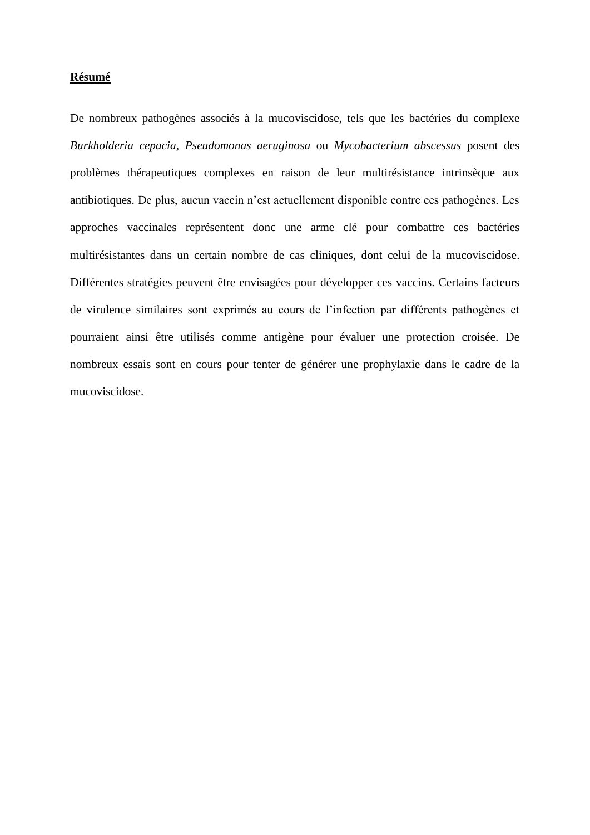#### **Résumé**

De nombreux pathogènes associés à la mucoviscidose, tels que les bactéries du complexe *Burkholderia cepacia*, *Pseudomonas aeruginosa* ou *Mycobacterium abscessus* posent des problèmes thérapeutiques complexes en raison de leur multirésistance intrinsèque aux antibiotiques. De plus, aucun vaccin n'est actuellement disponible contre ces pathogènes. Les approches vaccinales représentent donc une arme clé pour combattre ces bactéries multirésistantes dans un certain nombre de cas cliniques, dont celui de la mucoviscidose. Différentes stratégies peuvent être envisagées pour développer ces vaccins. Certains facteurs de virulence similaires sont exprimés au cours de l'infection par différents pathogènes et pourraient ainsi être utilisés comme antigène pour évaluer une protection croisée. De nombreux essais sont en cours pour tenter de générer une prophylaxie dans le cadre de la mucoviscidose.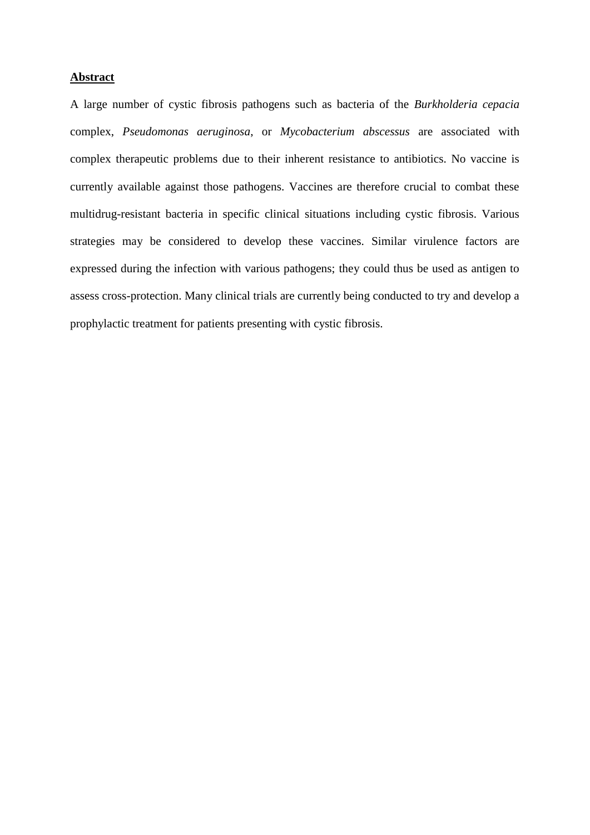### **Abstract**

A large number of cystic fibrosis pathogens such as bacteria of the *Burkholderia cepacia* complex, *Pseudomonas aeruginosa*, or *Mycobacterium abscessus* are associated with complex therapeutic problems due to their inherent resistance to antibiotics. No vaccine is currently available against those pathogens. Vaccines are therefore crucial to combat these multidrug-resistant bacteria in specific clinical situations including cystic fibrosis. Various strategies may be considered to develop these vaccines. Similar virulence factors are expressed during the infection with various pathogens; they could thus be used as antigen to assess cross-protection. Many clinical trials are currently being conducted to try and develop a prophylactic treatment for patients presenting with cystic fibrosis.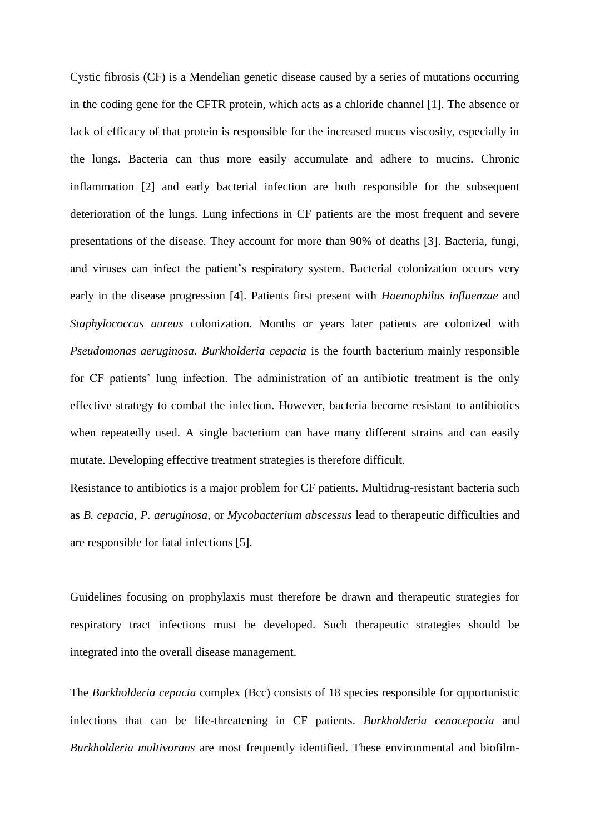Cystic fibrosis (CF) is a Mendelian genetic disease caused by a series of mutations occurring in the coding gene for the CFTR protein, which acts as a chloride channel [1]. The absence or lack of efficacy of that protein is responsible for the increased mucus viscosity, especially in the lungs. Bacteria can thus more easily accumulate and adhere to mucins. Chronic inflammation [2] and early bacterial infection are both responsible for the subsequent deterioration of the lungs. Lung infections in CF patients are the most frequent and severe presentations of the disease. They account for more than 90% of deaths [3]. Bacteria, fungi, and viruses can infect the patient's respiratory system. Bacterial colonization occurs very early in the disease progression [4]. Patients first present with *Haemophilus influenzae* and *Staphylococcus aureus* colonization. Months or years later patients are colonized with *Pseudomonas aeruginosa*. *Burkholderia cepacia* is the fourth bacterium mainly responsible for CF patients' lung infection. The administration of an antibiotic treatment is the only effective strategy to combat the infection. However, bacteria become resistant to antibiotics when repeatedly used. A single bacterium can have many different strains and can easily mutate. Developing effective treatment strategies is therefore difficult.

Resistance to antibiotics is a major problem for CF patients. Multidrug-resistant bacteria such as *B. cepacia*, *P. aeruginosa,* or *Mycobacterium abscessus* lead to therapeutic difficulties and are responsible for fatal infections [5].

Guidelines focusing on prophylaxis must therefore be drawn and therapeutic strategies for respiratory tract infections must be developed. Such therapeutic strategies should be integrated into the overall disease management.

The *Burkholderia cepacia* complex (Bcc) consists of 18 species responsible for opportunistic infections that can be life-threatening in CF patients. *Burkholderia cenocepacia* and *Burkholderia multivorans* are most frequently identified. These environmental and biofilm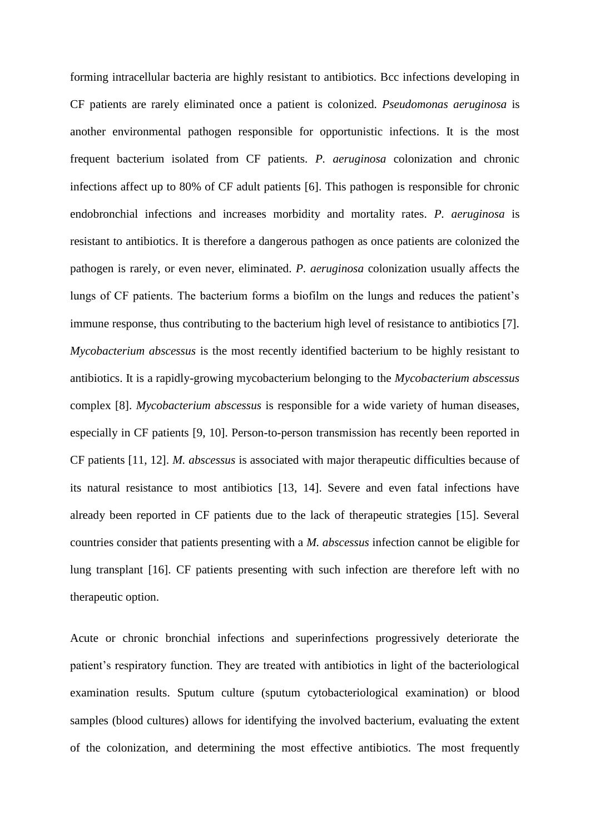forming intracellular bacteria are highly resistant to antibiotics. Bcc infections developing in CF patients are rarely eliminated once a patient is colonized. *Pseudomonas aeruginosa* is another environmental pathogen responsible for opportunistic infections. It is the most frequent bacterium isolated from CF patients. *P. aeruginosa* colonization and chronic infections affect up to 80% of CF adult patients [6]. This pathogen is responsible for chronic endobronchial infections and increases morbidity and mortality rates. *P. aeruginosa* is resistant to antibiotics. It is therefore a dangerous pathogen as once patients are colonized the pathogen is rarely, or even never, eliminated. *P. aeruginosa* colonization usually affects the lungs of CF patients. The bacterium forms a biofilm on the lungs and reduces the patient's immune response, thus contributing to the bacterium high level of resistance to antibiotics [7]. *Mycobacterium abscessus* is the most recently identified bacterium to be highly resistant to antibiotics. It is a rapidly-growing mycobacterium belonging to the *Mycobacterium abscessus* complex [8]. *Mycobacterium abscessus* is responsible for a wide variety of human diseases, especially in CF patients [9, 10]. Person-to-person transmission has recently been reported in CF patients [11, 12]. *M. abscessus* is associated with major therapeutic difficulties because of its natural resistance to most antibiotics [13, 14]. Severe and even fatal infections have already been reported in CF patients due to the lack of therapeutic strategies [15]. Several countries consider that patients presenting with a *M. abscessus* infection cannot be eligible for lung transplant [16]. CF patients presenting with such infection are therefore left with no therapeutic option.

Acute or chronic bronchial infections and superinfections progressively deteriorate the patient's respiratory function. They are treated with antibiotics in light of the bacteriological examination results. Sputum culture (sputum cytobacteriological examination) or blood samples (blood cultures) allows for identifying the involved bacterium, evaluating the extent of the colonization, and determining the most effective antibiotics. The most frequently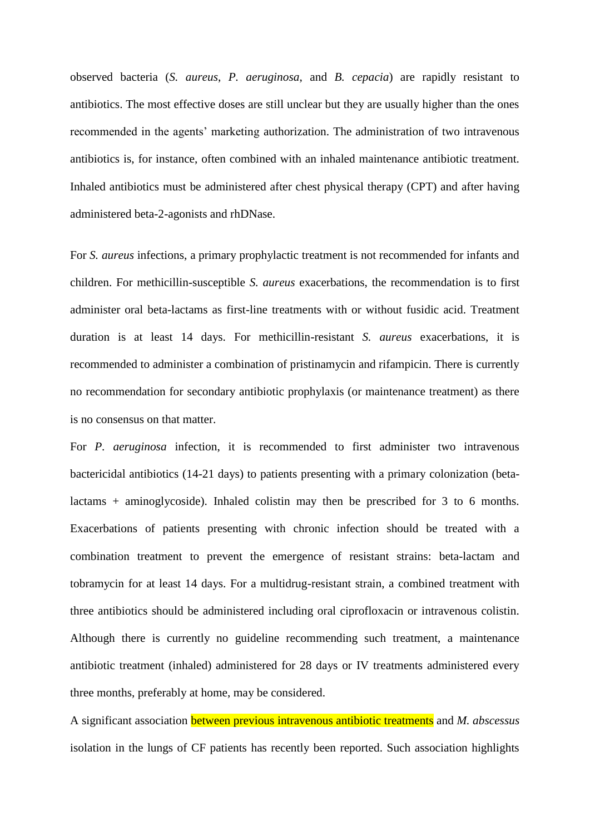observed bacteria (*S. aureus*, *P. aeruginosa*, and *B. cepacia*) are rapidly resistant to antibiotics. The most effective doses are still unclear but they are usually higher than the ones recommended in the agents' marketing authorization. The administration of two intravenous antibiotics is, for instance, often combined with an inhaled maintenance antibiotic treatment. Inhaled antibiotics must be administered after chest physical therapy (CPT) and after having administered beta-2-agonists and rhDNase.

For *S. aureus* infections, a primary prophylactic treatment is not recommended for infants and children. For methicillin-susceptible *S. aureus* exacerbations, the recommendation is to first administer oral beta-lactams as first-line treatments with or without fusidic acid. Treatment duration is at least 14 days. For methicillin-resistant *S. aureus* exacerbations, it is recommended to administer a combination of pristinamycin and rifampicin. There is currently no recommendation for secondary antibiotic prophylaxis (or maintenance treatment) as there is no consensus on that matter.

For *P. aeruginosa* infection, it is recommended to first administer two intravenous bactericidal antibiotics (14-21 days) to patients presenting with a primary colonization (betalactams + aminoglycoside). Inhaled colistin may then be prescribed for 3 to 6 months. Exacerbations of patients presenting with chronic infection should be treated with a combination treatment to prevent the emergence of resistant strains: beta-lactam and tobramycin for at least 14 days. For a multidrug-resistant strain, a combined treatment with three antibiotics should be administered including oral ciprofloxacin or intravenous colistin. Although there is currently no guideline recommending such treatment, a maintenance antibiotic treatment (inhaled) administered for 28 days or IV treatments administered every three months, preferably at home, may be considered.

A significant association between previous intravenous antibiotic treatments and *M. abscessus* isolation in the lungs of CF patients has recently been reported. Such association highlights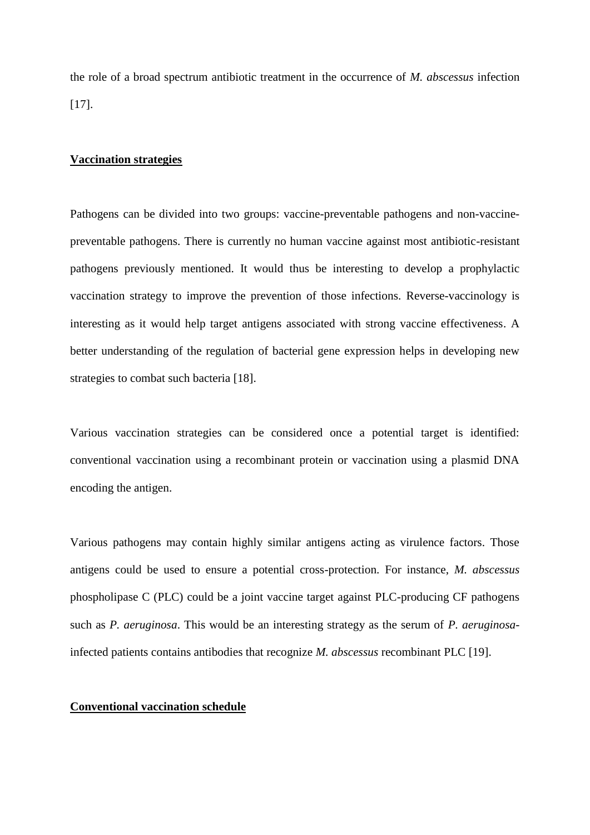the role of a broad spectrum antibiotic treatment in the occurrence of *M. abscessus* infection [17].

### **Vaccination strategies**

Pathogens can be divided into two groups: vaccine-preventable pathogens and non-vaccinepreventable pathogens. There is currently no human vaccine against most antibiotic-resistant pathogens previously mentioned. It would thus be interesting to develop a prophylactic vaccination strategy to improve the prevention of those infections. Reverse-vaccinology is interesting as it would help target antigens associated with strong vaccine effectiveness. A better understanding of the regulation of bacterial gene expression helps in developing new strategies to combat such bacteria [18].

Various vaccination strategies can be considered once a potential target is identified: conventional vaccination using a recombinant protein or vaccination using a plasmid DNA encoding the antigen.

Various pathogens may contain highly similar antigens acting as virulence factors. Those antigens could be used to ensure a potential cross-protection. For instance, *M. abscessus* phospholipase C (PLC) could be a joint vaccine target against PLC-producing CF pathogens such as *P. aeruginosa*. This would be an interesting strategy as the serum of *P. aeruginosa*infected patients contains antibodies that recognize *M. abscessus* recombinant PLC [19].

#### **Conventional vaccination schedule**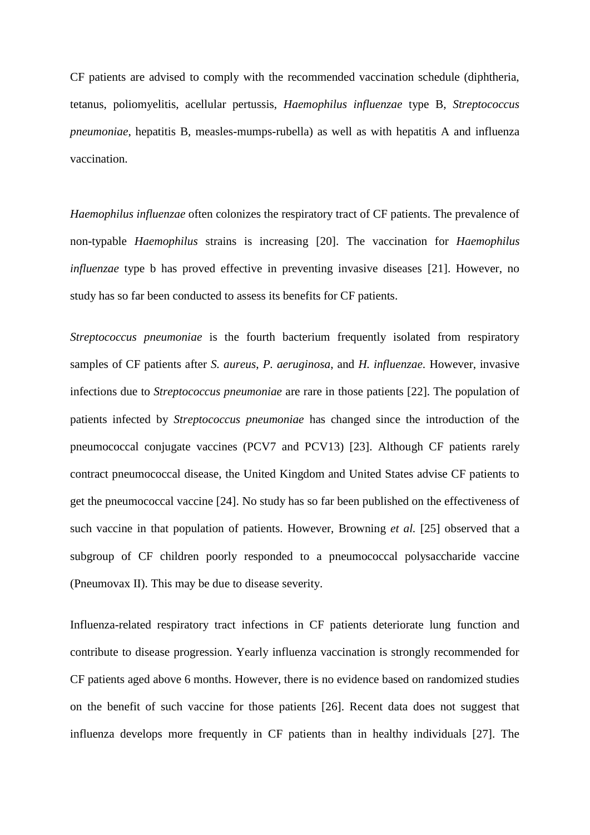CF patients are advised to comply with the recommended vaccination schedule (diphtheria, tetanus, poliomyelitis, acellular pertussis, *Haemophilus influenzae* type B, *Streptococcus pneumoniae*, hepatitis B, measles-mumps-rubella) as well as with hepatitis A and influenza vaccination.

*Haemophilus influenzae* often colonizes the respiratory tract of CF patients. The prevalence of non-typable *Haemophilus* strains is increasing [20]. The vaccination for *Haemophilus influenzae* type b has proved effective in preventing invasive diseases [21]. However, no study has so far been conducted to assess its benefits for CF patients.

*Streptococcus pneumoniae* is the fourth bacterium frequently isolated from respiratory samples of CF patients after *S. aureus*, *P. aeruginosa*, and *H. influenzae*. However, invasive infections due to *Streptococcus pneumoniae* are rare in those patients [22]. The population of patients infected by *Streptococcus pneumoniae* has changed since the introduction of the pneumococcal conjugate vaccines (PCV7 and PCV13) [23]. Although CF patients rarely contract pneumococcal disease, the United Kingdom and United States advise CF patients to get the pneumococcal vaccine [24]. No study has so far been published on the effectiveness of such vaccine in that population of patients. However, Browning *et al.* [25] observed that a subgroup of CF children poorly responded to a pneumococcal polysaccharide vaccine (Pneumovax II). This may be due to disease severity.

Influenza-related respiratory tract infections in CF patients deteriorate lung function and contribute to disease progression. Yearly influenza vaccination is strongly recommended for CF patients aged above 6 months. However, there is no evidence based on randomized studies on the benefit of such vaccine for those patients [26]. Recent data does not suggest that influenza develops more frequently in CF patients than in healthy individuals [27]. The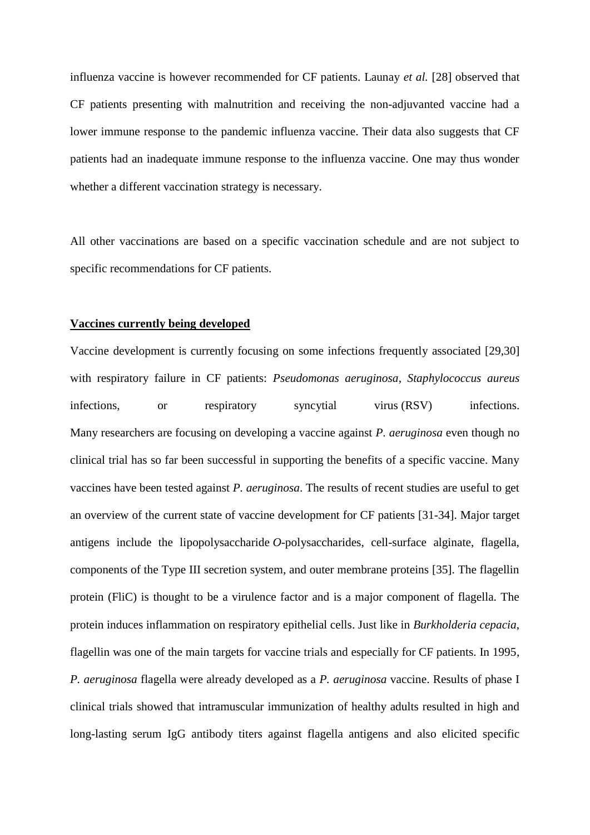influenza vaccine is however recommended for CF patients. Launay *et al.* [28] observed that CF patients presenting with malnutrition and receiving the non-adjuvanted vaccine had a lower immune response to the pandemic influenza vaccine. Their data also suggests that CF patients had an inadequate immune response to the influenza vaccine. One may thus wonder whether a different vaccination strategy is necessary.

All other vaccinations are based on a specific vaccination schedule and are not subject to specific recommendations for CF patients.

### **Vaccines currently being developed**

Vaccine development is currently focusing on some infections frequently associated [29,30] with respiratory failure in CF patients: *Pseudomonas aeruginosa*, *Staphylococcus aureus* infections, or respiratory syncytial virus (RSV) infections. Many researchers are focusing on developing a vaccine against *P. aeruginosa* even though no clinical trial has so far been successful in supporting the benefits of a specific vaccine. Many vaccines have been tested against *P. aeruginosa*. The results of recent studies are useful to get an overview of the current state of vaccine development for CF patients [31-34]. Major target antigens include the lipopolysaccharide *O*-polysaccharides, cell-surface alginate, flagella, components of the Type III secretion system, and outer membrane proteins [35]. The flagellin protein (FliC) is thought to be a virulence factor and is a major component of flagella. The protein induces inflammation on respiratory epithelial cells. Just like in *Burkholderia cepacia*, flagellin was one of the main targets for vaccine trials and especially for CF patients. In 1995, *P. aeruginosa* flagella were already developed as a *P. aeruginosa* vaccine. Results of phase I clinical trials showed that intramuscular immunization of healthy adults resulted in high and long-lasting serum IgG antibody titers against flagella antigens and also elicited specific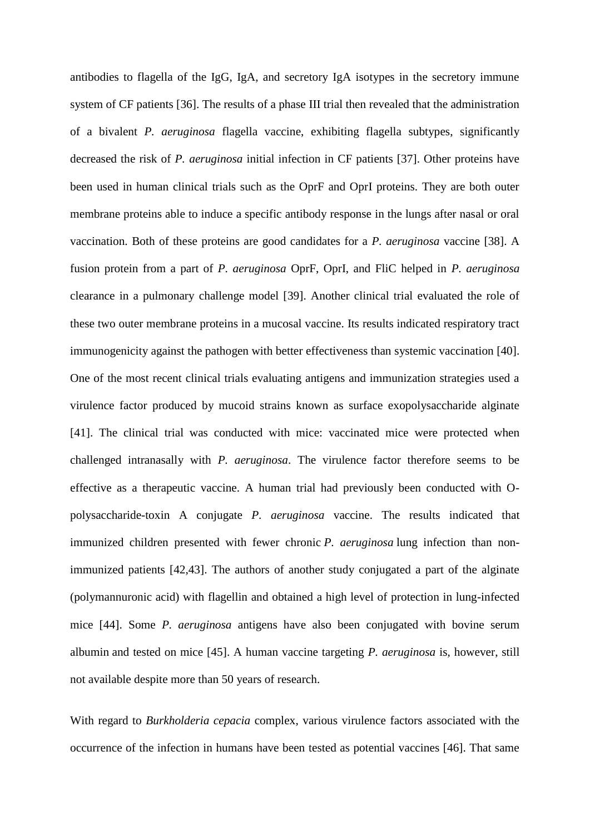antibodies to flagella of the IgG, IgA, and secretory IgA isotypes in the secretory immune system of CF patients [36]. The results of a phase III trial then revealed that the administration of a bivalent *P. aeruginosa* flagella vaccine, exhibiting flagella subtypes, significantly decreased the risk of *P. aeruginosa* initial infection in CF patients [37]. Other proteins have been used in human clinical trials such as the OprF and OprI proteins. They are both outer membrane proteins able to induce a specific antibody response in the lungs after nasal or oral vaccination. Both of these proteins are good candidates for a *P. aeruginosa* vaccine [38]. A fusion protein from a part of *P. aeruginosa* OprF, OprI, and FliC helped in *P. aeruginosa* clearance in a pulmonary challenge model [39]. Another clinical trial evaluated the role of these two outer membrane proteins in a mucosal vaccine. Its results indicated respiratory tract immunogenicity against the pathogen with better effectiveness than systemic vaccination [40]. One of the most recent clinical trials evaluating antigens and immunization strategies used a virulence factor produced by mucoid strains known as surface exopolysaccharide alginate [41]. The clinical trial was conducted with mice: vaccinated mice were protected when challenged intranasally with *P. aeruginosa*. The virulence factor therefore seems to be effective as a therapeutic vaccine. A human trial had previously been conducted with Opolysaccharide-toxin A conjugate *P. aeruginosa* vaccine. The results indicated that immunized children presented with fewer chronic *P. aeruginosa* lung infection than nonimmunized patients [42,43]. The authors of another study conjugated a part of the alginate (polymannuronic acid) with flagellin and obtained a high level of protection in lung-infected mice [44]. Some *P. aeruginosa* antigens have also been conjugated with bovine serum albumin and tested on mice [45]. A human vaccine targeting *P. aeruginosa* is, however, still not available despite more than 50 years of research.

With regard to *Burkholderia cepacia* complex, various virulence factors associated with the occurrence of the infection in humans have been tested as potential vaccines [46]. That same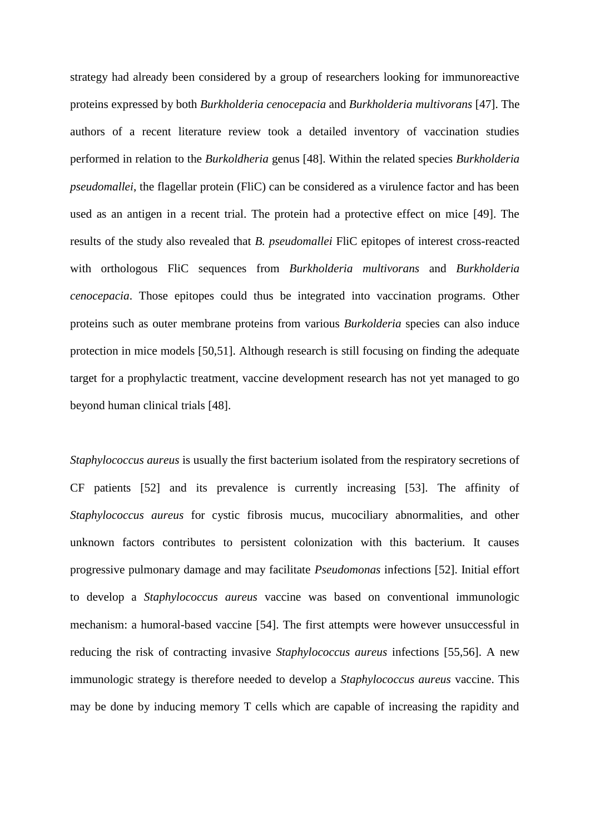strategy had already been considered by a group of researchers looking for immunoreactive proteins expressed by both *Burkholderia cenocepacia* and *Burkholderia multivorans* [47]. The authors of a recent literature review took a detailed inventory of vaccination studies performed in relation to the *Burkoldheria* genus [48]. Within the related species *Burkholderia pseudomallei*, the flagellar protein (FliC) can be considered as a virulence factor and has been used as an antigen in a recent trial. The protein had a protective effect on mice [49]. The results of the study also revealed that *B. pseudomallei* FliC epitopes of interest cross-reacted with orthologous FliC sequences from *Burkholderia multivorans* and *Burkholderia cenocepacia*. Those epitopes could thus be integrated into vaccination programs. Other proteins such as outer membrane proteins from various *Burkolderia* species can also induce protection in mice models [50,51]. Although research is still focusing on finding the adequate target for a prophylactic treatment, vaccine development research has not yet managed to go beyond human clinical trials [48].

*Staphylococcus aureus* is usually the first bacterium isolated from the respiratory secretions of CF patients [52] and its prevalence is currently increasing [53]. The affinity of *Staphylococcus aureus* for cystic fibrosis mucus, mucociliary abnormalities, and other unknown factors contributes to persistent colonization with this bacterium. It causes progressive pulmonary damage and may facilitate *Pseudomonas* infections [52]. Initial effort to develop a *Staphylococcus aureus* vaccine was based on conventional immunologic mechanism: a humoral-based vaccine [54]. The first attempts were however unsuccessful in reducing the risk of contracting invasive *Staphylococcus aureus* infections [55,56]. A new immunologic strategy is therefore needed to develop a *Staphylococcus aureus* vaccine. This may be done by inducing memory T cells which are capable of increasing the rapidity and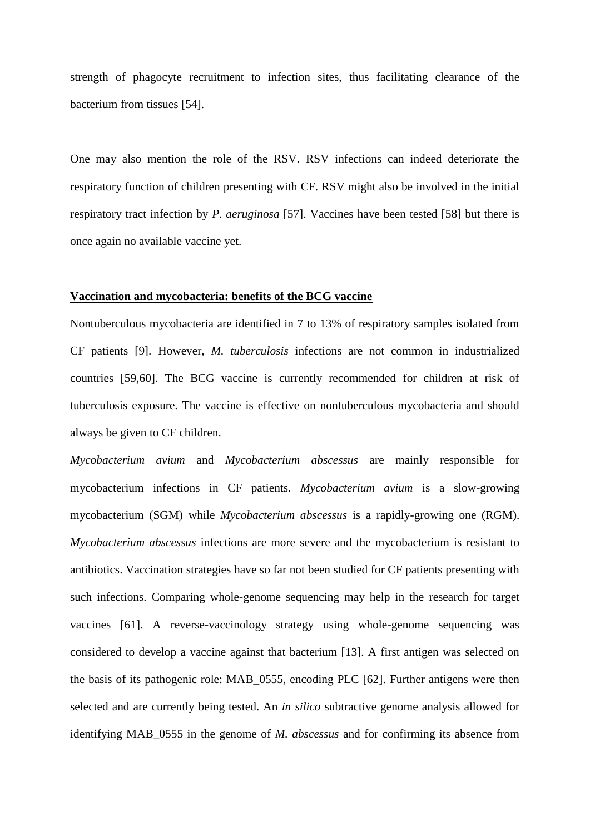strength of phagocyte recruitment to infection sites, thus facilitating clearance of the bacterium from tissues [54].

One may also mention the role of the RSV. RSV infections can indeed deteriorate the respiratory function of children presenting with CF. RSV might also be involved in the initial respiratory tract infection by *P. aeruginosa* [57]. Vaccines have been tested [58] but there is once again no available vaccine yet.

#### **Vaccination and mycobacteria: benefits of the BCG vaccine**

Nontuberculous mycobacteria are identified in 7 to 13% of respiratory samples isolated from CF patients [9]. However, *M. tuberculosis* infections are not common in industrialized countries [59,60]. The BCG vaccine is currently recommended for children at risk of tuberculosis exposure. The vaccine is effective on nontuberculous mycobacteria and should always be given to CF children.

*Mycobacterium avium* and *Mycobacterium abscessus* are mainly responsible for mycobacterium infections in CF patients. *Mycobacterium avium* is a slow-growing mycobacterium (SGM) while *Mycobacterium abscessus* is a rapidly-growing one (RGM). *Mycobacterium abscessus* infections are more severe and the mycobacterium is resistant to antibiotics. Vaccination strategies have so far not been studied for CF patients presenting with such infections. Comparing whole-genome sequencing may help in the research for target vaccines [61]. A reverse-vaccinology strategy using whole-genome sequencing was considered to develop a vaccine against that bacterium [13]. A first antigen was selected on the basis of its pathogenic role: MAB\_0555, encoding PLC [62]. Further antigens were then selected and are currently being tested. An *in silico* subtractive genome analysis allowed for identifying MAB\_0555 in the genome of *M. abscessus* and for confirming its absence from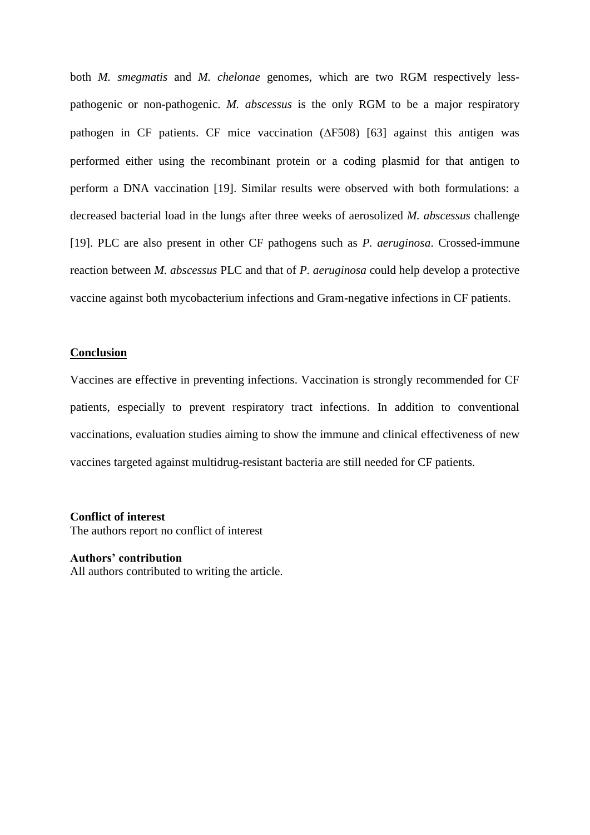both *M. smegmatis* and *M. chelonae* genomes, which are two RGM respectively lesspathogenic or non-pathogenic. *M. abscessus* is the only RGM to be a major respiratory pathogen in CF patients. CF mice vaccination  $(\Delta F508)$  [63] against this antigen was performed either using the recombinant protein or a coding plasmid for that antigen to perform a DNA vaccination [19]. Similar results were observed with both formulations: a decreased bacterial load in the lungs after three weeks of aerosolized *M. abscessus* challenge [19]. PLC are also present in other CF pathogens such as *P. aeruginosa*. Crossed-immune reaction between *M. abscessus* PLC and that of *P. aeruginosa* could help develop a protective vaccine against both mycobacterium infections and Gram-negative infections in CF patients.

#### **Conclusion**

Vaccines are effective in preventing infections. Vaccination is strongly recommended for CF patients, especially to prevent respiratory tract infections. In addition to conventional vaccinations, evaluation studies aiming to show the immune and clinical effectiveness of new vaccines targeted against multidrug-resistant bacteria are still needed for CF patients.

**Conflict of interest** The authors report no conflict of interest

**Authors' contribution** All authors contributed to writing the article.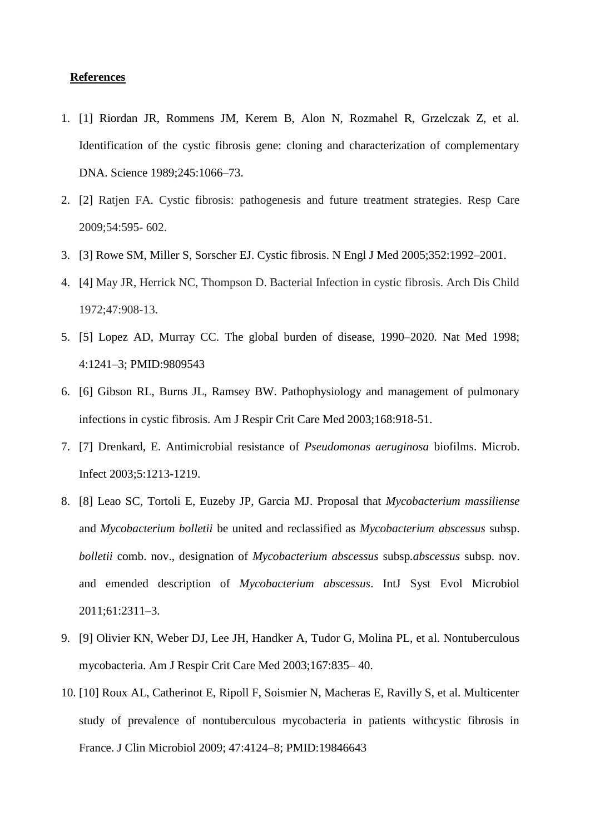### **References**

- 1. [1] Riordan JR, Rommens JM, Kerem B, Alon N, Rozmahel R, Grzelczak Z, et al. Identification of the cystic fibrosis gene: cloning and characterization of complementary DNA. Science 1989;245:1066–73.
- 2. [2] Ratjen FA. Cystic fibrosis: pathogenesis and future treatment strategies. Resp Care 2009;54:595- 602.
- 3. [3] Rowe SM, Miller S, Sorscher EJ. Cystic fibrosis. N Engl J Med 2005;352:1992–2001.
- 4. [4] May JR, Herrick NC, Thompson D. Bacterial Infection in cystic fibrosis. Arch Dis Child 1972;47:908-13.
- 5. [5] Lopez AD, Murray CC. The global burden of disease, 1990–2020. Nat Med 1998; 4:1241–3; PMID:9809543
- 6. [6] Gibson RL, Burns JL, Ramsey BW. Pathophysiology and management of pulmonary infections in cystic fibrosis. Am J Respir Crit Care Med 2003;168:918-51.
- 7. [7] Drenkard, E. Antimicrobial resistance of *Pseudomonas aeruginosa* biofilms. Microb. Infect 2003;5:1213-1219.
- 8. [8] Leao SC, Tortoli E, Euzeby JP, Garcia MJ. Proposal that *Mycobacterium massiliense* and *Mycobacterium bolletii* be united and reclassified as *Mycobacterium abscessus* subsp. *bolletii* comb. nov., designation of *Mycobacterium abscessus* subsp*.abscessus* subsp. nov. and emended description of *Mycobacterium abscessus*. IntJ Syst Evol Microbiol 2011;61:2311–3.
- 9. [9] Olivier KN, Weber DJ, Lee JH, Handker A, Tudor G, Molina PL, et al. Nontuberculous mycobacteria. Am J Respir Crit Care Med 2003;167:835– 40.
- 10. [10] Roux AL, Catherinot E, Ripoll F, Soismier N, Macheras E, Ravilly S, et al. Multicenter study of prevalence of nontuberculous mycobacteria in patients withcystic fibrosis in France. J Clin Microbiol 2009; 47:4124–8; PMID:19846643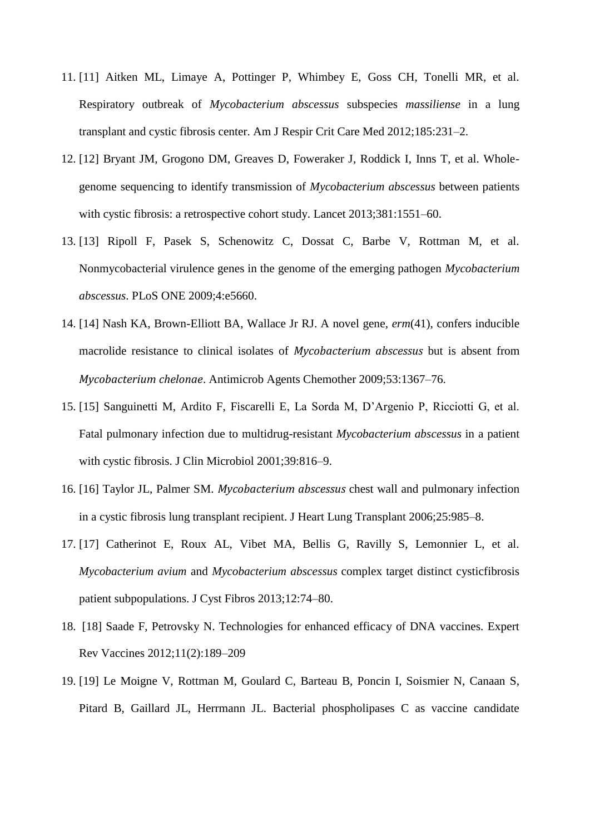- 11. [11] Aitken ML, Limaye A, Pottinger P, Whimbey E, Goss CH, Tonelli MR, et al. Respiratory outbreak of *Mycobacterium abscessus* subspecies *massiliense* in a lung transplant and cystic fibrosis center. Am J Respir Crit Care Med 2012;185:231–2.
- 12. [12] Bryant JM, Grogono DM, Greaves D, Foweraker J, Roddick I, Inns T, et al. Wholegenome sequencing to identify transmission of *Mycobacterium abscessus* between patients with cystic fibrosis: a retrospective cohort study. Lancet 2013;381:1551–60.
- 13. [13] Ripoll F, Pasek S, Schenowitz C, Dossat C, Barbe V, Rottman M, et al. Nonmycobacterial virulence genes in the genome of the emerging pathogen *Mycobacterium abscessus*. PLoS ONE 2009;4:e5660.
- 14. [14] Nash KA, Brown-Elliott BA, Wallace Jr RJ. A novel gene, *erm*(41), confers inducible macrolide resistance to clinical isolates of *Mycobacterium abscessus* but is absent from *Mycobacterium chelonae*. Antimicrob Agents Chemother 2009;53:1367–76.
- 15. [15] Sanguinetti M, Ardito F, Fiscarelli E, La Sorda M, D'Argenio P, Ricciotti G, et al. Fatal pulmonary infection due to multidrug-resistant *Mycobacterium abscessus* in a patient with cystic fibrosis. J Clin Microbiol 2001;39:816–9.
- 16. [16] Taylor JL, Palmer SM. *Mycobacterium abscessus* chest wall and pulmonary infection in a cystic fibrosis lung transplant recipient. J Heart Lung Transplant 2006;25:985–8.
- 17. [17] Catherinot E, Roux AL, Vibet MA, Bellis G, Ravilly S, Lemonnier L, et al. *Mycobacterium avium* and *Mycobacterium abscessus* complex target distinct cysticfibrosis patient subpopulations. J Cyst Fibros 2013;12:74–80.
- 18. [18] Saade F, Petrovsky N. Technologies for enhanced efficacy of DNA vaccines. Expert Rev Vaccines 2012;11(2):189–209
- 19. [19] Le Moigne V, Rottman M, Goulard C, Barteau B, Poncin I, Soismier N, Canaan S, Pitard B, Gaillard JL, Herrmann JL. Bacterial phospholipases C as vaccine candidate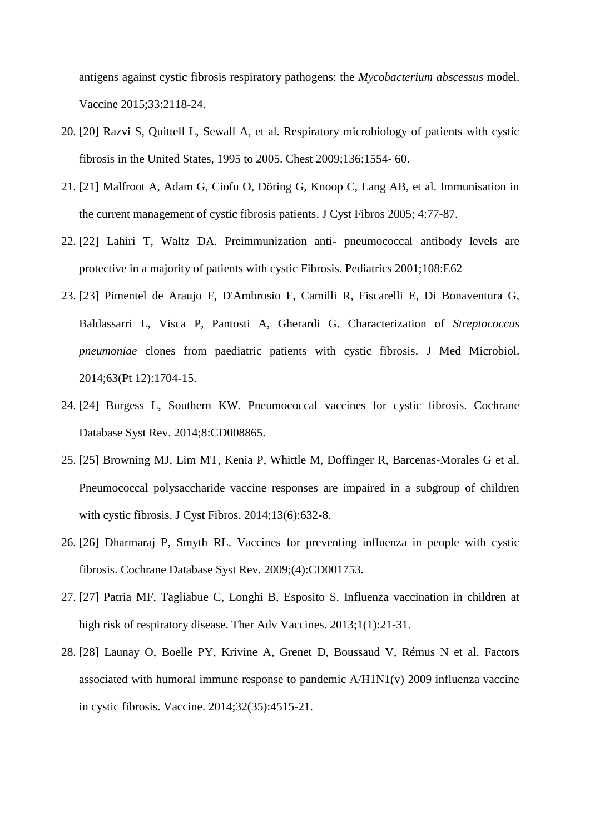antigens against cystic fibrosis respiratory pathogens: the *Mycobacterium abscessus* model. Vaccine 2015;33:2118-24.

- 20. [20] Razvi S, Quittell L, Sewall A, et al. Respiratory microbiology of patients with cystic fibrosis in the United States, 1995 to 2005. Chest 2009;136:1554- 60.
- 21. [21] Malfroot A, Adam G, Ciofu O, Döring G, Knoop C, Lang AB, et al. Immunisation in the current management of cystic fibrosis patients. J Cyst Fibros 2005; 4:77-87.
- 22. [22] Lahiri T, Waltz DA. Preimmunization anti- pneumococcal antibody levels are protective in a majority of patients with cystic Fibrosis. Pediatrics 2001;108:E62
- 23. [23] Pimentel de Araujo F, D'Ambrosio F, Camilli R, Fiscarelli E, Di Bonaventura G, Baldassarri L, Visca P, Pantosti A, Gherardi G. Characterization of *Streptococcus pneumoniae* clones from paediatric patients with cystic fibrosis. J Med Microbiol. 2014;63(Pt 12):1704-15.
- 24. [24] Burgess L, Southern KW. Pneumococcal vaccines for cystic fibrosis. Cochrane Database Syst Rev. 2014;8:CD008865.
- 25. [25] Browning MJ, Lim MT, Kenia P, Whittle M, Doffinger R, Barcenas-Morales G et al. Pneumococcal polysaccharide vaccine responses are impaired in a subgroup of children with cystic fibrosis. J Cyst Fibros. 2014;13(6):632-8.
- 26. [26] Dharmaraj P, Smyth RL. Vaccines for preventing influenza in people with cystic fibrosis. Cochrane Database Syst Rev. 2009;(4):CD001753.
- 27. [27] Patria MF, Tagliabue C, Longhi B, Esposito S. Influenza vaccination in children at high risk of respiratory disease. Ther Adv Vaccines. 2013;1(1):21-31.
- 28. [28] Launay O, Boelle PY, Krivine A, Grenet D, Boussaud V, Rémus N et al. Factors associated with humoral immune response to pandemic A/H1N1(v) 2009 influenza vaccine in cystic fibrosis. Vaccine. 2014;32(35):4515-21.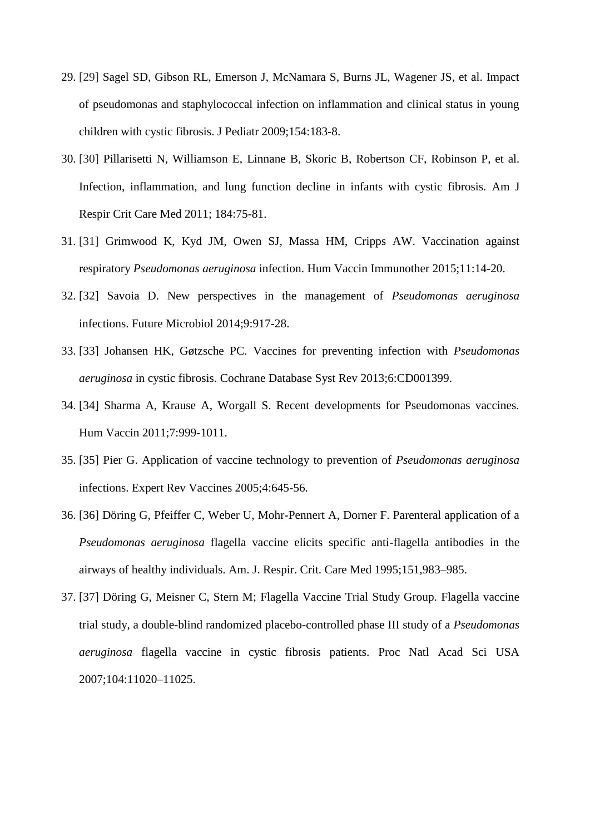- 29. [29] Sagel SD, Gibson RL, Emerson J, McNamara S, Burns JL, Wagener JS, et al. Impact of pseudomonas and staphylococcal infection on inflammation and clinical status in young children with cystic fibrosis. J Pediatr 2009;154:183-8.
- 30. [30] Pillarisetti N, Williamson E, Linnane B, Skoric B, Robertson CF, Robinson P, et al. Infection, inflammation, and lung function decline in infants with cystic fibrosis. Am J Respir Crit Care Med 2011; 184:75-81.
- 31. [31] Grimwood K, Kyd JM, Owen SJ, Massa HM, Cripps AW. Vaccination against respiratory *Pseudomonas aeruginosa* infection. Hum Vaccin Immunother 2015;11:14-20.
- 32. [32] Savoia D. New perspectives in the management of *Pseudomonas aeruginosa* infections. Future Microbiol 2014;9:917-28.
- 33. [33] Johansen HK, Gøtzsche PC. Vaccines for preventing infection with *Pseudomonas aeruginosa* in cystic fibrosis. Cochrane Database Syst Rev 2013;6:CD001399.
- 34. [34] Sharma A, Krause A, Worgall S. Recent developments for Pseudomonas vaccines. Hum Vaccin 2011;7:999-1011.
- 35. [35] Pier G. Application of vaccine technology to prevention of *Pseudomonas aeruginosa* infections. Expert Rev Vaccines 2005;4:645-56.
- 36. [36] Döring G, Pfeiffer C, Weber U, Mohr-Pennert A, Dorner F. Parenteral application of a *Pseudomonas aeruginosa* flagella vaccine elicits specific anti-flagella antibodies in the airways of healthy individuals. Am. J. Respir. Crit. Care Med 1995;151,983–985.
- 37. [37] Döring G, Meisner C, Stern M; Flagella Vaccine Trial Study Group. Flagella vaccine trial study, a double-blind randomized placebo-controlled phase III study of a *Pseudomonas aeruginosa* flagella vaccine in cystic fibrosis patients. Proc Natl Acad Sci USA 2007;104:11020–11025.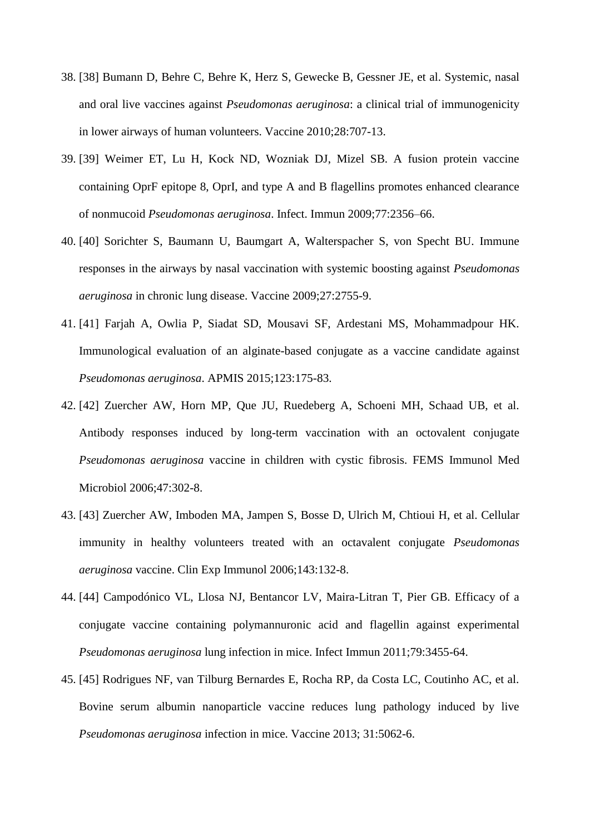- 38. [38] Bumann D, Behre C, Behre K, Herz S, Gewecke B, Gessner JE, et al. Systemic, nasal and oral live vaccines against *Pseudomonas aeruginosa*: a clinical trial of immunogenicity in lower airways of human volunteers. Vaccine 2010;28:707-13.
- 39. [39] Weimer ET, Lu H, Kock ND, Wozniak DJ, Mizel SB. A fusion protein vaccine containing OprF epitope 8, OprI, and type A and B flagellins promotes enhanced clearance of nonmucoid *Pseudomonas aeruginosa*. Infect. Immun 2009;77:2356–66.
- 40. [40] Sorichter S, Baumann U, Baumgart A, Walterspacher S, von Specht BU. Immune responses in the airways by nasal vaccination with systemic boosting against *Pseudomonas aeruginosa* in chronic lung disease. Vaccine 2009;27:2755-9.
- 41. [41] Farjah A, Owlia P, Siadat SD, Mousavi SF, Ardestani MS, Mohammadpour HK. Immunological evaluation of an alginate-based conjugate as a vaccine candidate against *Pseudomonas aeruginosa*. APMIS 2015;123:175-83.
- 42. [42] Zuercher AW, Horn MP, Que JU, Ruedeberg A, Schoeni MH, Schaad UB, et al. Antibody responses induced by long-term vaccination with an octovalent conjugate *Pseudomonas aeruginosa* vaccine in children with cystic fibrosis. FEMS Immunol Med Microbiol 2006;47:302-8.
- 43. [43] Zuercher AW, Imboden MA, Jampen S, Bosse D, Ulrich M, Chtioui H, et al. Cellular immunity in healthy volunteers treated with an octavalent conjugate *Pseudomonas aeruginosa* vaccine. Clin Exp Immunol 2006;143:132-8.
- 44. [44] Campodónico VL, Llosa NJ, Bentancor LV, Maira-Litran T, Pier GB. Efficacy of a conjugate vaccine containing polymannuronic acid and flagellin against experimental *Pseudomonas aeruginosa* lung infection in mice. Infect Immun 2011;79:3455-64.
- 45. [45] Rodrigues NF, van Tilburg Bernardes E, Rocha RP, da Costa LC, Coutinho AC, et al. Bovine serum albumin nanoparticle vaccine reduces lung pathology induced by live *Pseudomonas aeruginosa* infection in mice. Vaccine 2013; 31:5062-6.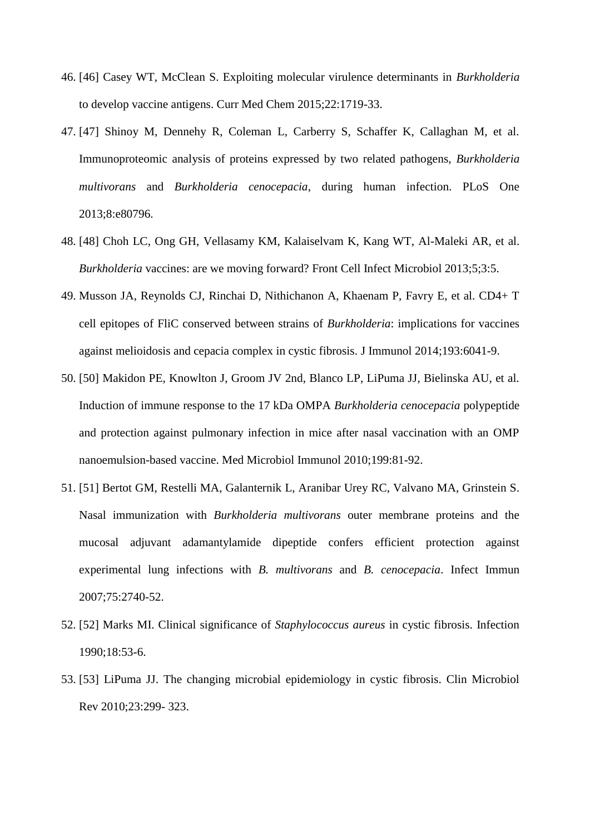- 46. [46] Casey WT, McClean S. Exploiting molecular virulence determinants in *Burkholderia* to develop vaccine antigens. Curr Med Chem 2015;22:1719-33.
- 47. [47] Shinoy M, Dennehy R, Coleman L, Carberry S, Schaffer K, Callaghan M, et al. Immunoproteomic analysis of proteins expressed by two related pathogens, *Burkholderia multivorans* and *Burkholderia cenocepacia*, during human infection. PLoS One 2013;8:e80796.
- 48. [48] Choh LC, Ong GH, Vellasamy KM, Kalaiselvam K, Kang WT, Al-Maleki AR, et al. *Burkholderia* vaccines: are we moving forward? Front Cell Infect Microbiol 2013;5;3:5.
- 49. Musson JA, Reynolds CJ, Rinchai D, Nithichanon A, Khaenam P, Favry E, et al. CD4+ T cell epitopes of FliC conserved between strains of *Burkholderia*: implications for vaccines against melioidosis and cepacia complex in cystic fibrosis. J Immunol 2014;193:6041-9.
- 50. [50] Makidon PE, Knowlton J, Groom JV 2nd, Blanco LP, LiPuma JJ, Bielinska AU, et al. Induction of immune response to the 17 kDa OMPA *Burkholderia cenocepacia* polypeptide and protection against pulmonary infection in mice after nasal vaccination with an OMP nanoemulsion-based vaccine. Med Microbiol Immunol 2010;199:81-92.
- 51. [51] Bertot GM, Restelli MA, Galanternik L, Aranibar Urey RC, Valvano MA, Grinstein S. Nasal immunization with *Burkholderia multivorans* outer membrane proteins and the mucosal adjuvant adamantylamide dipeptide confers efficient protection against experimental lung infections with *B. multivorans* and *B. cenocepacia*. Infect Immun 2007;75:2740-52.
- 52. [52] Marks MI. Clinical significance of *Staphylococcus aureus* in cystic fibrosis. Infection 1990;18:53-6.
- 53. [53] LiPuma JJ. The changing microbial epidemiology in cystic fibrosis. Clin Microbiol Rev 2010;23:299- 323.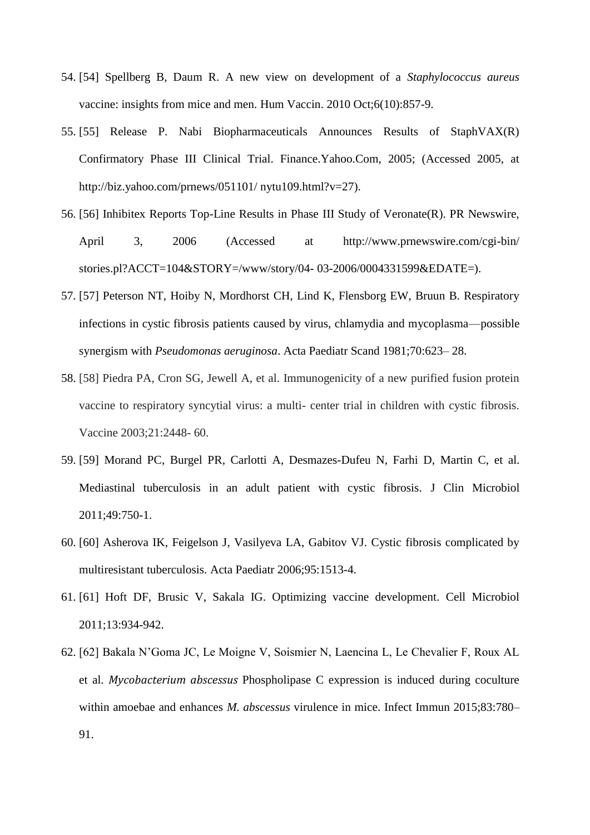- 54. [54] Spellberg B, Daum R. A new view on development of a *Staphylococcus aureus* vaccine: insights from mice and men. Hum Vaccin. 2010 Oct;6(10):857-9.
- 55. [55] Release P. Nabi Biopharmaceuticals Announces Results of StaphVAX(R) Confirmatory Phase III Clinical Trial. Finance.Yahoo.Com, 2005; (Accessed 2005, at http://biz.yahoo.com/prnews/051101/ nytu109.html?v=27).
- 56. [56] Inhibitex Reports Top-Line Results in Phase III Study of Veronate(R). PR Newswire, April 3, 2006 (Accessed at http://www.prnewswire.com/cgi-bin/ stories.pl?ACCT=104&STORY=/www/story/04- 03-2006/0004331599&EDATE=).
- 57. [57] Peterson NT, Hoiby N, Mordhorst CH, Lind K, Flensborg EW, Bruun B. Respiratory infections in cystic fibrosis patients caused by virus, chlamydia and mycoplasma—possible synergism with *Pseudomonas aeruginosa*. Acta Paediatr Scand 1981;70:623– 28.
- 58. [58] Piedra PA, Cron SG, Jewell A, et al. Immunogenicity of a new purified fusion protein vaccine to respiratory syncytial virus: a multi- center trial in children with cystic fibrosis. Vaccine 2003;21:2448- 60.
- 59. [59] Morand PC, Burgel PR, Carlotti A, Desmazes-Dufeu N, Farhi D, Martin C, et al. Mediastinal tuberculosis in an adult patient with cystic fibrosis. J Clin Microbiol 2011;49:750-1.
- 60. [60] Asherova IK, Feigelson J, Vasilyeva LA, Gabitov VJ. Cystic fibrosis complicated by multiresistant tuberculosis. Acta Paediatr 2006;95:1513-4.
- 61. [61] Hoft DF, Brusic V, Sakala IG. Optimizing vaccine development. Cell Microbiol 2011;13:934-942.
- 62. [62] Bakala N'Goma JC, Le Moigne V, Soismier N, Laencina L, Le Chevalier F, Roux AL et al. *Mycobacterium abscessus* Phospholipase C expression is induced during coculture within amoebae and enhances *M. abscessus* virulence in mice. Infect Immun 2015;83:780– 91.